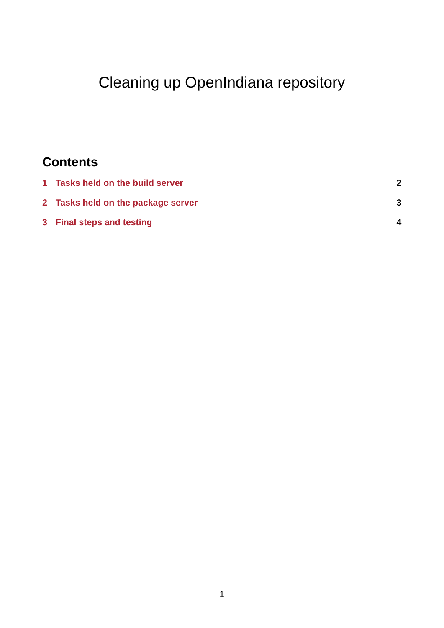# Cleaning up OpenIndiana repository

## **Contents**

| 1 Tasks held on the build server   |  |
|------------------------------------|--|
| 2 Tasks held on the package server |  |
| 3 Final steps and testing          |  |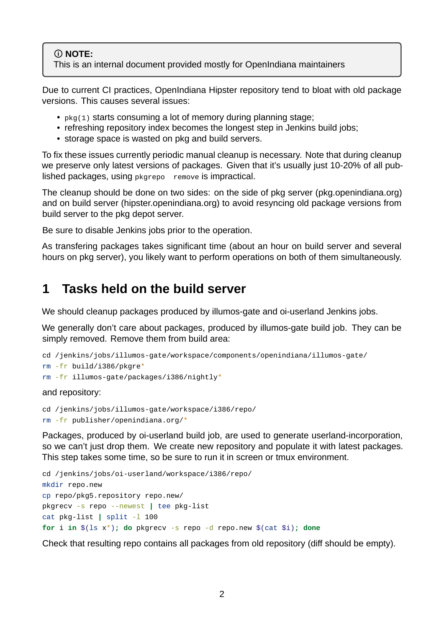#### **NOTE:**

This is an internal document provided mostly for OpenIndiana maintainers

Due to current CI practices, OpenIndiana Hipster repository tend to bloat with old package versions. This causes several issues:

- pkg(1) starts consuming a lot of memory during planning stage;
- refreshing repository index becomes the longest step in Jenkins build jobs;
- storage space is wasted on pkg and build servers.

To fix these issues currently periodic manual cleanup is necessary. Note that during cleanup we preserve only latest versions of packages. Given that it's usually just 10-20% of all published packages, using pkgrepo remove is impractical.

The cleanup should be done on two sides: on the side of pkg server (pkg.openindiana.org) and on build server (hipster.openindiana.org) to avoid resyncing old package versions from build server to the pkg depot server.

Be sure to disable Jenkins jobs prior to the operation.

As transfering packages takes significant time (about an hour on build server and several hours on pkg server), you likely want to perform operations on both of them simultaneously.

### <span id="page-1-0"></span>**1 Tasks held on the build server**

We should cleanup packages produced by illumos-gate and oi-userland Jenkins jobs.

We generally don't care about packages, produced by illumos-gate build job. They can be simply removed. Remove them from build area:

```
cd /jenkins/jobs/illumos-qate/workspace/components/openindiana/illumos-qate/
rm fr build/i386/pkgre*
rm - fr illumos-gate/packages/i386/nightly*
```
and repository:

```
cd /jenkins/jobs/illumos-gate/workspace/i386/repo/
rm - fr publisher/openindiana.org/*
```
Packages, produced by oi-userland build job, are used to generate userland-incorporation, so we can't just drop them. We create new repository and populate it with latest packages. This step takes some time, so be sure to run it in screen or tmux environment.

```
cd /jenkins/jobs/oi-userland/workspace/i386/repo/
mkdir repo.new
cp repo/pkg5.repository repo.new/
pkgrecv -s repo --newest | tee pkg-list
cat pkg-list | split -1 100
for i in $(1s x^*); do pkgrecv -s repo -d repo.new $(cat $i); done
```
Check that resulting repo contains all packages from old repository (diff should be empty).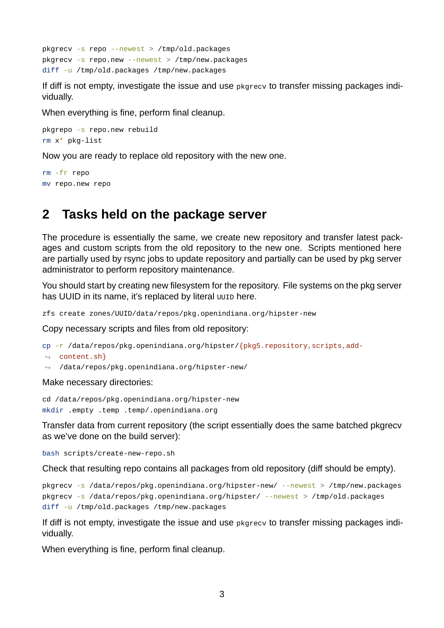$pkgrecv -s repo -newest > /tmp/old.packages$  $pkgrecv - s$  repo.new  $-$ -newest > /tmp/new.packages diff -u /tmp/old.packages /tmp/new.packages

If diff is not empty, investigate the issue and use pkgrecv to transfer missing packages individually.

When everything is fine, perform final cleanup.

```
pkgrepo -s repo.new rebuild
rm x* pkg-list
```
Now you are ready to replace old repository with the new one.

rm -fr repo mv repo.new repo

#### **2 Tasks held on the package server**

The procedure is essentially the same, we create new repository and transfer latest packages and custom scripts from the old repository to the new one. Scripts mentioned here are partially used by rsync jobs to update repository and partially can be used by pkg server administrator to perform repository maintenance.

You should start by creating new filesystem for the repository. File systems on the pkg server has UUID in its name, it's replaced by literal uuto here.

zfs create zones/UUID/data/repos/pkg.openindiana.org/hipster-new

Copy necessary scripts and files from old repository:

```
cp - r /data/repos/pkg.openindiana.org/hipster/{pkg5.repository, scripts, add-
```
- $\leftrightarrow$  content.sh}
- $\hookrightarrow$  /data/repos/pkg.openindiana.org/hipster-new/

Make necessary directories:

cd /data/repos/pkg.openindiana.org/hipster-new mkdir .empty .temp .temp/.openindiana.org

Transfer data from current repository (the script essentially does the same batched pkgrecv as we've done on the build server):

bash scripts/create-new-repo.sh

Check that resulting repo contains all packages from old repository (diff should be empty).

```
pkgrecv -s /data/repos/pkg.openindiana.org/hipster-new/ --newest > /tmp/new.packages
pkgrecv -s /data/repos/pkg.openindiana.org/hipster/ --newest > /tmp/old.packages
diff -u /tmp/old.packages /tmp/new.packages
```
If diff is not empty, investigate the issue and use pkgrecv to transfer missing packages individually.

When everything is fine, perform final cleanup.